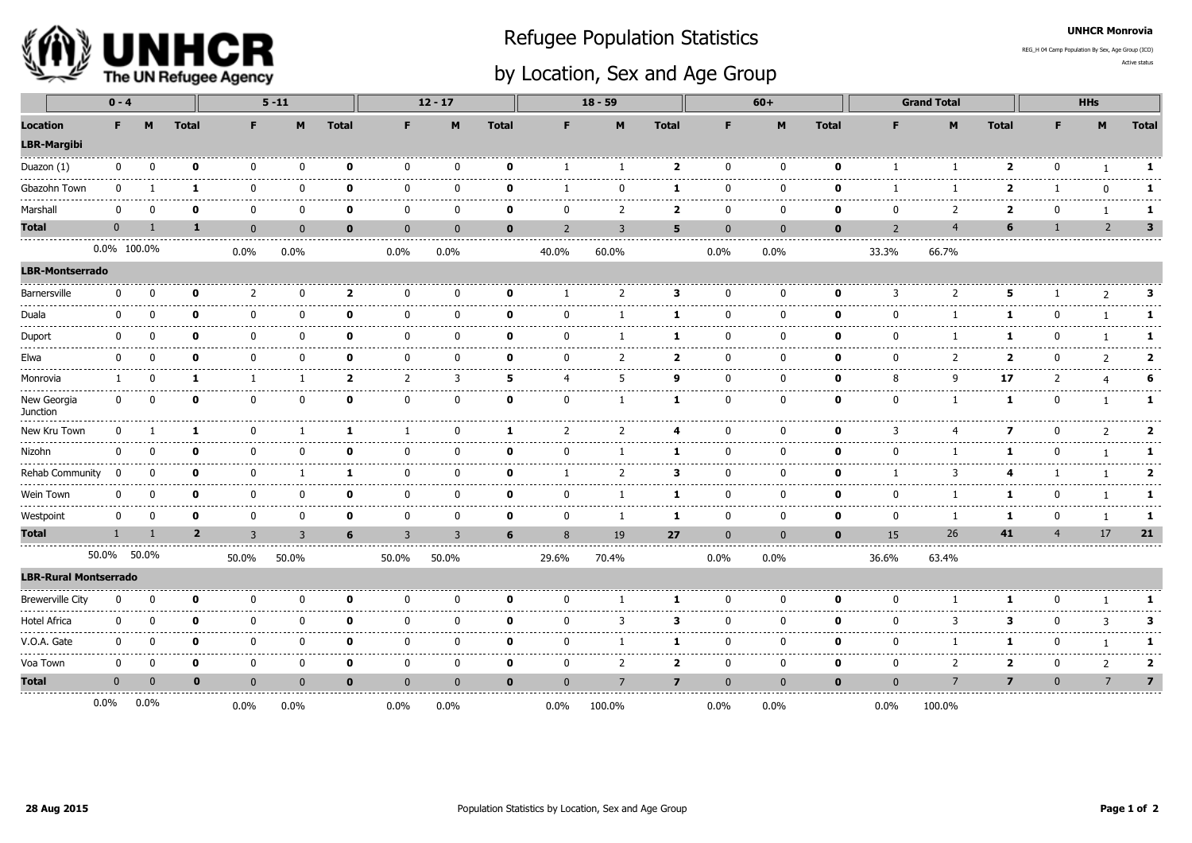

## Refugee Population Statistics

REG\_H 04 Camp Population By Sex, Age Group (ICO)

UNHCR Monrovia

## by Location, Sex and Age Group

Active status

|                                                       |              | $0 - 4$     |  |                | $5 - 11$                  |              |                         | $12 - 17$      |                |              | $18 - 59$        |                |                                  |                        | $60+$        |              | <b>Grand Total</b> |                          |                         | <b>HHs</b>     |                |                           |
|-------------------------------------------------------|--------------|-------------|--|----------------|---------------------------|--------------|-------------------------|----------------|----------------|--------------|------------------|----------------|----------------------------------|------------------------|--------------|--------------|--------------------|--------------------------|-------------------------|----------------|----------------|---------------------------|
| <b>Location</b><br><b>LBR-Margibi</b>                 | F.           | M           |  | <b>Total</b>   | F.                        | M            | <b>Total</b>            | F.             | M              | <b>Total</b> | F.               | M              | <b>Total</b>                     | F                      | M            | <b>Total</b> | F                  | M                        | <b>Total</b>            | F.             | M              | <b>Total</b>              |
| Duazon (1)                                            | $\mathbf{0}$ | $\Omega$    |  | n              | $\Omega$                  | $\Omega$     | ŋ                       | n              | $\Omega$       | $\Omega$     |                  |                | $\overline{\mathbf{2}}$          | $\Omega$               | n            | n            |                    |                          | ,                       | n              |                | 1                         |
| ---------<br>Gbazohn Town                             | $\Omega$     |             |  | 1              | $\Omega$                  | $\mathbf{0}$ | O                       | U              | $\Omega$       | $\Omega$     |                  | ŋ              | 1                                | $\Omega$               | ŋ            | n            |                    |                          | 2                       |                | $\mathbf{0}$   | 1                         |
| Marshall                                              | $\Omega$     | n           |  | O              | $- - - -$<br><sup>0</sup> | $\mathbf{0}$ | O                       | U              | $\Omega$       | O            |                  | $\overline{2}$ | -----<br>$\overline{\mathbf{2}}$ | $\Omega$               | ŋ            | n            | n                  | $\overline{\phantom{0}}$ | ,                       | $\Omega$       |                | .<br>1                    |
| <b>Total</b>                                          | $\mathbf{0}$ |             |  | $\mathbf{1}$   | $\mathbf{0}$              | $\mathbf{0}$ | $\mathbf{0}$            | $\Omega$       | $\overline{0}$ | $\mathbf{0}$ | $\overline{z}$   | 3              | 5                                | $\mathbf{0}$           | $\Omega$     | $\bf{0}$     | $\overline{z}$     | $\overline{4}$           | 6                       |                | $\overline{2}$ | $\overline{\mathbf{3}}$   |
|                                                       |              | 0.0% 100.0% |  |                | 0.0%                      | $0.0\%$      |                         | 0.0%           | 0.0%           |              | 40.0%            | 60.0%          |                                  | $0.0\%$                | $0.0\%$      |              | 33.3%              | 66.7%                    |                         |                |                |                           |
| <b>LBR-Montserrado</b>                                |              |             |  |                |                           |              |                         |                |                |              |                  |                |                                  |                        |              |              |                    |                          |                         |                |                |                           |
| Barnersville<br>-------                               | $\mathbf{0}$ | n           |  | O              | $\mathcal{P}$             | $\mathbf{0}$ | $\overline{\mathbf{2}}$ | ŋ              | $\Omega$       | $\Omega$     |                  | $\overline{2}$ | 3                                | $\Omega$               | ŋ            | 0            | 3                  | $\overline{\phantom{0}}$ | 5                       |                | $\mathcal{P}$  | 3                         |
| Duala<br>.                                            | $\Omega$     |             |  | O              | $\Omega$<br>-----         | $\Omega$     | O                       | ŋ              | $\Omega$       | ŋ            |                  |                | 1                                | U                      | U            | n            | n                  |                          | 1                       | n              |                | 1                         |
| Duport                                                | $\Omega$     |             |  | O              | $\Omega$                  | $\Omega$     | O                       | ŋ              | $\Omega$       | ŋ            |                  |                | 1                                | ŋ                      | n            | n            |                    |                          | 1                       | U              |                | 1                         |
| Elwa                                                  | 0            | n           |  | O              | $\mathbf{0}$              | $\mathbf{0}$ | $\mathbf{0}$            | $\Omega$       | $\Omega$       | 0            | ŋ                | 2              | $\overline{2}$                   | $\mathbf{0}$           | $\Omega$     | 0            | $\Omega$           | $\overline{2}$           | $\mathbf{z}$            | $\Omega$       | 2              | -------<br>$\overline{2}$ |
| Monrovia                                              | -1           | $\Omega$    |  | 1              | $\mathbf{1}$              | $\mathbf{1}$ | $\overline{2}$          | 2              | 3              | 5            | $\boldsymbol{4}$ | 5              | 9                                | $\mathbf{0}$           | $\mathbf{0}$ | 0            | 8                  | q                        | 17                      | 2              | $\overline{4}$ | 6                         |
| New Georgia<br>Junction                               | $\mathbf{0}$ | n           |  | O              | $\mathbf{0}$              | $\mathbf{0}$ | $\Omega$                | $\Omega$       | $\Omega$       | $\Omega$     | $\Omega$         |                | 1                                | $\mathbf{0}$           | $\Omega$     | 0            | $\mathbf{0}$       | $\mathbf{1}$             | -1                      | U              |                | 1                         |
| New Kru Town<br>. _ _ _ _ _ _ _ _ _ _ _ _ _ _ _ _ _ _ | $\mathbf{0}$ |             |  | 1              | <sup>0</sup>              |              | 1                       |                | $\Omega$       | -1           | $\mathcal{P}$    | $\overline{2}$ | 4                                | $\Omega$               | U            | $\Omega$     | 3                  | 4                        | 7                       | U              | 2              | $\overline{2}$<br>.       |
| Nizohn<br>                                            | $\Omega$     |             |  | n              | n                         | $\Omega$     | ŋ                       | U              |                | ŋ            |                  |                | 1                                | ŋ                      |              | O            |                    |                          |                         |                |                | 1<br>----------           |
| <b>Rehab Community</b><br>-----------------           | $\Omega$     | O           |  | n              | O                         |              | -1                      | U              | n              | O            |                  | 2              | 3                                | ŋ                      | ŋ            | n            |                    | 3                        | 4                       |                |                | $\overline{2}$<br>.       |
| Wein Town                                             | 0            | n           |  | $\Omega$       | <sup>0</sup>              | $\mathbf{0}$ | $\Omega$                | $\Omega$       | $\Omega$       | $\Omega$     |                  |                | 1                                | $\mathbf{0}$           | $\Omega$     | 0            | <sup>n</sup>       |                          | 1                       |                |                | 1                         |
| Westpoint                                             | 0            | $\Omega$    |  | 0              | 0                         | 0            | $\mathbf 0$             | 0              | 0              | 0            | $\Omega$         | 1              | 1                                | 0                      | 0            | 0            | $\mathbf{0}$       | -1                       | 1                       | 0              | $\mathbf{1}$   | 1                         |
| Total                                                 | $\mathbf{1}$ |             |  | $\overline{2}$ | $\overline{3}$            | 3            | 6                       | $\overline{3}$ | $\overline{3}$ | 6            |                  | 19             | 27                               | $\bf{0}$               | $\mathbf{0}$ | $\mathbf 0$  | 15                 | 26                       | 41                      | $\overline{a}$ | 17             | 21                        |
|                                                       |              | 50.0% 50.0% |  |                | 50.0%                     | 50.0%        |                         | 50.0%          | 50.0%          |              | 29.6%            | 70.4%          |                                  | $0.0\%$                | $0.0\%$      |              | 36.6%              | 63.4%                    |                         |                |                |                           |
| <b>LBR-Rural Montserrado</b>                          |              |             |  |                |                           |              |                         |                |                |              |                  |                |                                  |                        |              |              |                    |                          |                         |                |                |                           |
| <b>Brewerville City</b>                               | $\Omega$     | n           |  | n              | n                         | $\Omega$     | ŋ                       | n              | n              | ŋ            |                  |                | 1                                |                        | n            | n            |                    |                          |                         |                |                | 1                         |
| Hotel Africa                                          | 0            |             |  | O              | <sup>0</sup>              | $\mathbf{0}$ | $\Omega$                | U              | $\Omega$       | n            |                  | 3              | 3                                | $\Omega$               | n            | $\Omega$     |                    | З                        | з                       |                | 3              | 3<br>.                    |
| V.O.A. Gate                                           | 0            | n           |  | $\mathbf{0}$   | 0                         | 0<br>.       | $\mathbf{0}$            | $\mathbf{0}$   | $\Omega$       | $\Omega$     | n                |                | 1                                | $\mathbf 0$<br>د د د د | $\mathbf{0}$ | 0            | $\Omega$           | -1                       | 1                       | $\Omega$       | 1              | 1<br>-----                |
| Voa Town                                              | $\mathbf 0$  | $\Omega$    |  | $\mathbf{0}$   | 0                         | $\mathbf 0$  | 0                       | 0              | 0              | $\mathbf 0$  | $\mathbf{0}$     | 2              | $\mathbf{2}$                     | $\mathbf 0$            | 0            | 0            | 0                  | 2                        | $\overline{2}$          | 0              | $\overline{2}$ | $\overline{2}$            |
| <b>Total</b>                                          | $\mathbf{0}$ | $\Omega$    |  | $\mathbf{0}$   | $\mathbf{0}$              | $\mathbf{0}$ | $\bf{0}$                | $\mathbf{0}$   | $\mathbf{0}$   | $\mathbf 0$  | $\mathbf{0}$     | $\overline{7}$ | $\overline{7}$                   | $\mathbf{0}$           | $\mathbf{0}$ | $\mathbf{0}$ | $\mathbf{0}$       | $\overline{7}$           | $\overline{\mathbf{z}}$ | $\mathbf{0}$   | $\overline{7}$ | $\overline{7}$            |
|                                                       | $0.0\%$      | $0.0\%$     |  |                | $0.0\%$                   | $0.0\%$      |                         | 0.0%           | 0.0%           |              | $0.0\%$          | 100.0%         |                                  | 0.0%                   | $0.0\%$      |              | $0.0\%$            | 100.0%                   |                         |                |                |                           |